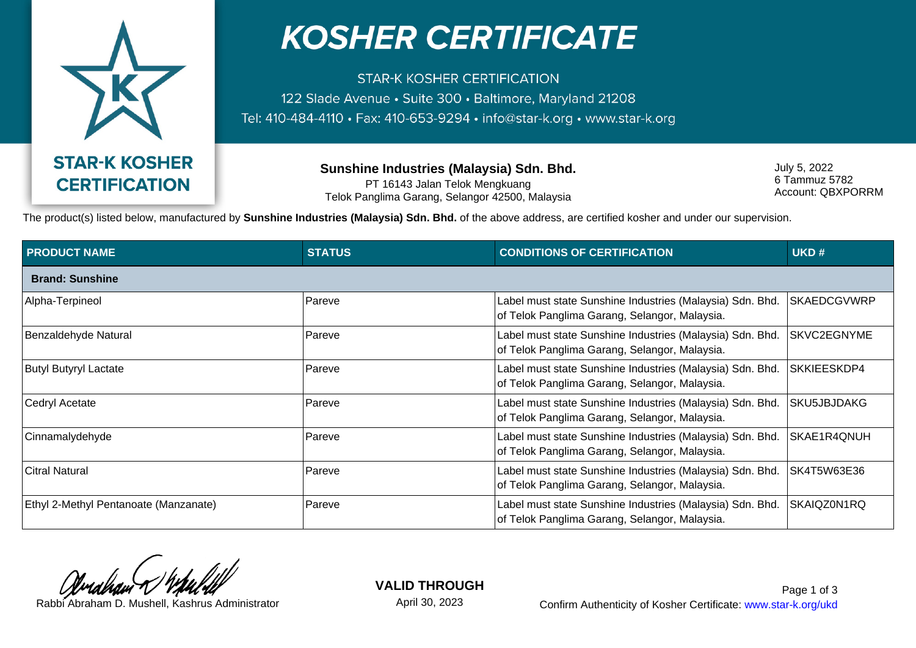

## **KOSHER CERTIFICATE**

**STAR-K KOSHER CERTIFICATION** 122 Slade Avenue · Suite 300 · Baltimore, Maryland 21208 Tel: 410-484-4110 · Fax: 410-653-9294 · info@star-k.org · www.star-k.org

> **Sunshine Industries (Malaysia) Sdn. Bhd.** PT 16143 Jalan Telok Mengkuang Telok Panglima Garang, Selangor 42500, Malaysia

July 5, 2022 6 Tammuz 5782 Account: QBXPORRM

The product(s) listed below, manufactured by **Sunshine Industries (Malaysia) Sdn. Bhd.** of the above address, are certified kosher and under our supervision.

| <b>PRODUCT NAME</b>                   | <b>STATUS</b> | <b>CONDITIONS OF CERTIFICATION</b>                                                                         | UKD#               |  |  |
|---------------------------------------|---------------|------------------------------------------------------------------------------------------------------------|--------------------|--|--|
| <b>Brand: Sunshine</b>                |               |                                                                                                            |                    |  |  |
| Alpha-Terpineol                       | Pareve        | Label must state Sunshine Industries (Malaysia) Sdn. Bhd.<br>of Telok Panglima Garang, Selangor, Malaysia. | <b>SKAEDCGVWRP</b> |  |  |
| Benzaldehyde Natural                  | ⊦Pareve       | Label must state Sunshine Industries (Malaysia) Sdn. Bhd.<br>of Telok Panglima Garang, Selangor, Malaysia. | SKVC2EGNYME        |  |  |
| Butyl Butyryl Lactate                 | Pareve        | Label must state Sunshine Industries (Malaysia) Sdn. Bhd.<br>of Telok Panglima Garang, Selangor, Malaysia. | SKKIEESKDP4        |  |  |
| Cedryl Acetate                        | Pareve        | Label must state Sunshine Industries (Malaysia) Sdn. Bhd.<br>of Telok Panglima Garang, Selangor, Malaysia. | SKU5JBJDAKG        |  |  |
| Cinnamalydehyde                       | Pareve        | Label must state Sunshine Industries (Malaysia) Sdn. Bhd.<br>of Telok Panglima Garang, Selangor, Malaysia. | SKAE1R4QNUH        |  |  |
| <b>Citral Natural</b>                 | Pareve        | Label must state Sunshine Industries (Malaysia) Sdn. Bhd.<br>of Telok Panglima Garang, Selangor, Malaysia. | SK4T5W63E36        |  |  |
| Ethyl 2-Methyl Pentanoate (Manzanate) | Pareve        | Label must state Sunshine Industries (Malaysia) Sdn. Bhd.<br>of Telok Panglima Garang, Selangor, Malaysia. | SKAIQZ0N1RQ        |  |  |

**VALID THROUGH**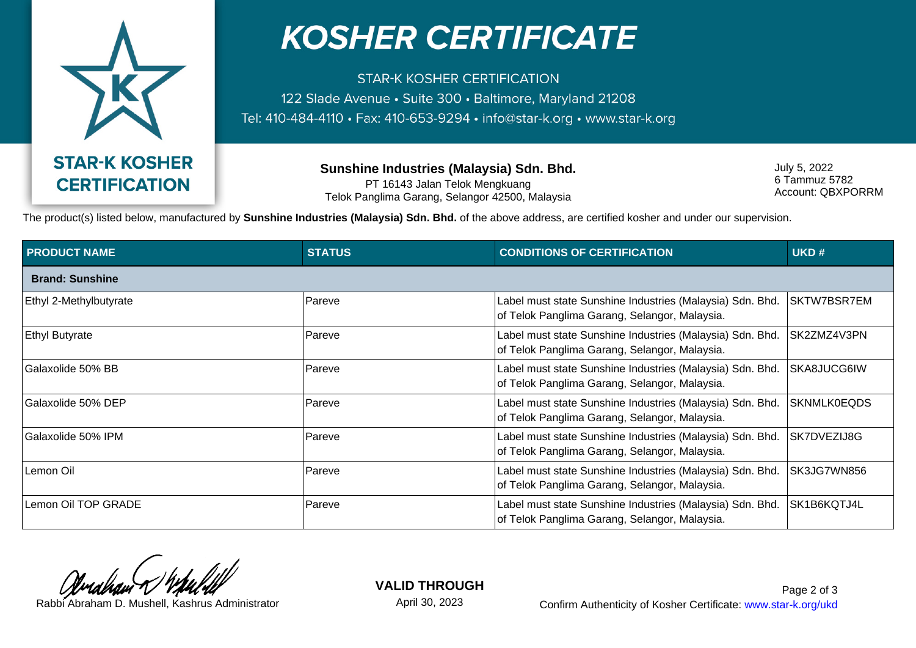

## **KOSHER CERTIFICATE**

**STAR-K KOSHER CERTIFICATION** 122 Slade Avenue · Suite 300 · Baltimore, Maryland 21208 Tel: 410-484-4110 · Fax: 410-653-9294 · info@star-k.org · www.star-k.org

> **Sunshine Industries (Malaysia) Sdn. Bhd.** PT 16143 Jalan Telok Mengkuang Telok Panglima Garang, Selangor 42500, Malaysia

July 5, 2022 6 Tammuz 5782 Account: QBXPORRM

The product(s) listed below, manufactured by **Sunshine Industries (Malaysia) Sdn. Bhd.** of the above address, are certified kosher and under our supervision.

| <b>PRODUCT NAME</b>    | <b>STATUS</b> | <b>CONDITIONS OF CERTIFICATION</b>                                                                         | UKD#               |  |  |
|------------------------|---------------|------------------------------------------------------------------------------------------------------------|--------------------|--|--|
| <b>Brand: Sunshine</b> |               |                                                                                                            |                    |  |  |
| Ethyl 2-Methylbutyrate | Pareve        | Label must state Sunshine Industries (Malaysia) Sdn. Bhd.<br>of Telok Panglima Garang, Selangor, Malaysia. | SKTW7BSR7EM        |  |  |
| <b>Ethyl Butyrate</b>  | Pareve        | Label must state Sunshine Industries (Malaysia) Sdn. Bhd.<br>of Telok Panglima Garang, Selangor, Malaysia. | SK2ZMZ4V3PN        |  |  |
| Galaxolide 50% BB      | Pareve        | Label must state Sunshine Industries (Malaysia) Sdn. Bhd.<br>of Telok Panglima Garang, Selangor, Malaysia. | SKA8JUCG6IW        |  |  |
| Galaxolide 50% DEP     | Pareve        | Label must state Sunshine Industries (Malaysia) Sdn. Bhd.<br>of Telok Panglima Garang, Selangor, Malaysia. | <b>SKNMLK0EQDS</b> |  |  |
| Galaxolide 50% IPM     | Pareve        | Label must state Sunshine Industries (Malaysia) Sdn. Bhd.<br>of Telok Panglima Garang, Selangor, Malaysia. | SK7DVEZIJ8G        |  |  |
| Lemon Oil              | Pareve        | Label must state Sunshine Industries (Malaysia) Sdn. Bhd.<br>of Telok Panglima Garang, Selangor, Malaysia. | SK3JG7WN856        |  |  |
| Lemon Oil TOP GRADE    | Pareve        | Label must state Sunshine Industries (Malaysia) Sdn. Bhd.<br>of Telok Panglima Garang, Selangor, Malaysia. | SK1B6KQTJ4L        |  |  |

**VALID THROUGH**